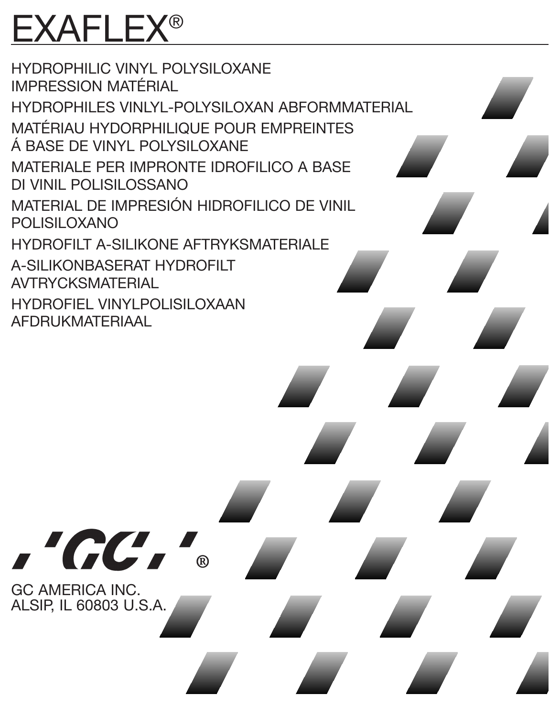# EXAFLEX®

HYDROPHILIC VINYL POLYSILOXANE IMPRESSION MATÉRIAL HYDROPHILES VINLYL-POLYSILOXAN ABFORMMATERIAL MATÉRIAU HYDORPHILIQUE POUR EMPREINTES Á BASE DE VINYL POLYSILOXANE MATERIALE PER IMPRONTE IDROFILICO A BASE DI VINIL POLISILOSSANO MATERIAL DE IMPRESIÓN HIDROFILICO DE VINIL POLISILOXANO HYDROFILT A-SILIKONE AFTRYKSMATERIALE A-SILIKONBASERAT HYDROFILT AVTRYCKSMATERIAL HYDROFIEL VINYLPOLISILOXAAN AFDRUKMATERIAAL

'GC'

GC AMERICA INC. ALSIP, IL 60803 U.S.A.